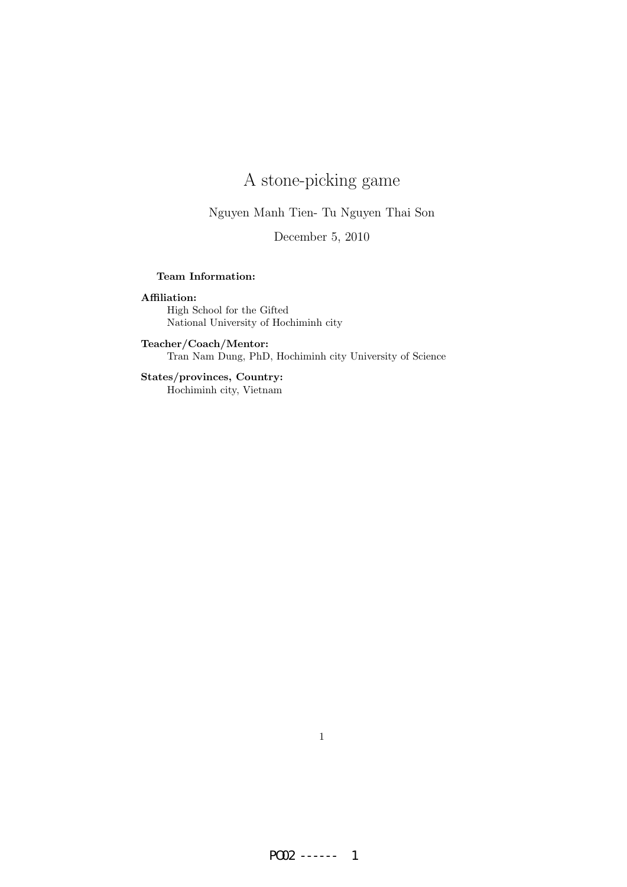# A stone-picking game

Nguyen Manh Tien- Tu Nguyen Thai Son

December 5, 2010

### Team Information:

### Affiliation:

High School for the Gifted National University of Hochiminh city

Teacher/Coach/Mentor: Tran Nam Dung, PhD, Hochiminh city University of Science

States/provinces, Country: Hochiminh city, Vietnam

1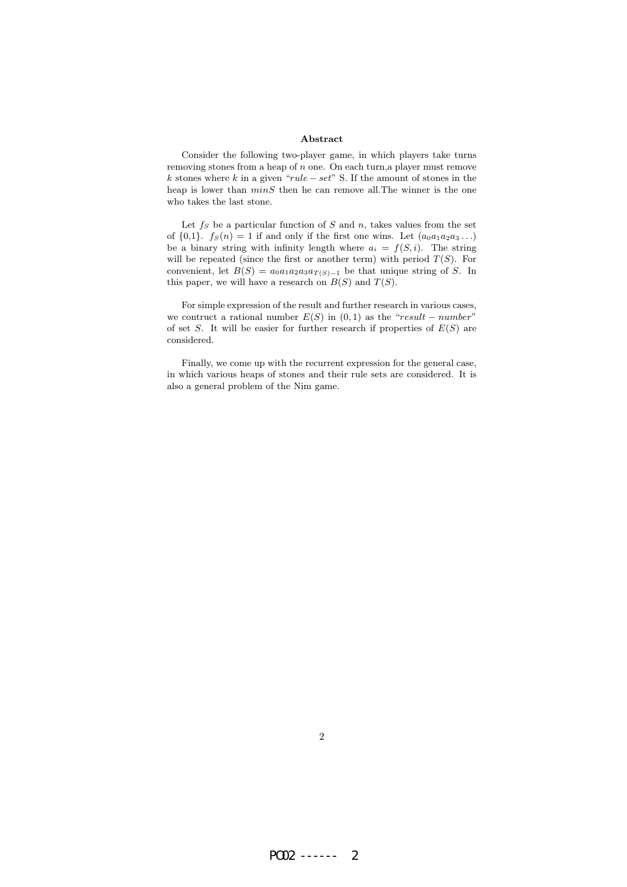#### Abstract

Consider the following two-player game, in which players take turns removing stones from a heap of n one. On each turn,a player must remove k stones where k in a given " $rule - set$ " S. If the amount of stones in the heap is lower than  $minS$  then he can remove all. The winner is the one who takes the last stone.

Let  $f_S$  be a particular function of S and n, takes values from the set of  $\{0,1\}$ .  $f_S(n) = 1$  if and only if the first one wins. Let  $(a_0a_1a_2a_3...)$ be a binary string with infinity length where  $a_i = f(S, i)$ . The string will be repeated (since the first or another term) with period  $T(S)$ . For convenient, let  $B(S) = a_0 a_1 a_2 a_3 a_{T(S)-1}$  be that unique string of S. In this paper, we will have a research on  $B(S)$  and  $T(S)$ .

For simple expression of the result and further research in various cases, we contruct a rational number  $E(S)$  in  $(0, 1)$  as the "result – number" of set S. It will be easier for further research if properties of  $E(S)$  are considered.

Finally, we come up with the recurrent expression for the general case, in which various heaps of stones and their rule sets are considered. It is also a general problem of the Nim game.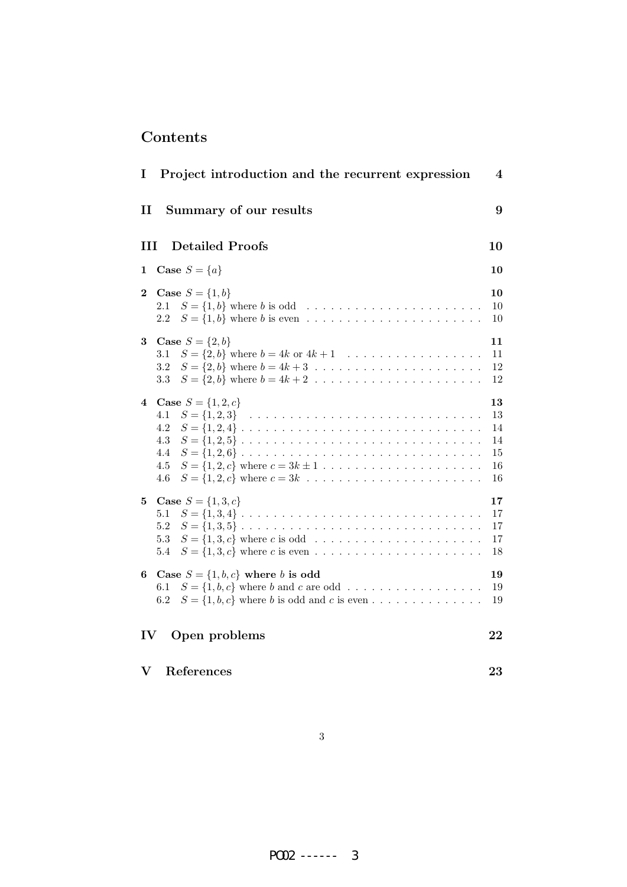# Contents

| I                         | Project introduction and the recurrent expression                                                      | $\boldsymbol{4}$                       |
|---------------------------|--------------------------------------------------------------------------------------------------------|----------------------------------------|
| $\mathbf{I}$              | Summary of our results                                                                                 | 9                                      |
| Ш                         | <b>Detailed Proofs</b>                                                                                 | 10                                     |
| 1                         | Case $S = \{a\}$                                                                                       | 10                                     |
| $\bf{2}$                  | <b>Case</b> $S = \{1, b\}$<br>2.1<br>2.2                                                               | 10<br>10<br>10                         |
| 3                         | <b>Case</b> $S = \{2, b\}$<br>$S = \{2, b\}$ where $b = 4k$ or $4k + 1$<br>3.1<br>3.2<br>3.3           | 11<br>11<br>12<br>12                   |
| 4                         | <b>Case</b> $S = \{1, 2, c\}$<br>4.1<br>4.2<br>4.3<br>$S = \{1,2,5\}$<br>4.4<br>4.5<br>4.6             | 13<br>13<br>14<br>14<br>15<br>16<br>16 |
| 5                         | <b>Case</b> $S = \{1, 3, c\}$<br>$S = \{1,3,4\}$<br>5.1<br>$5.2\,$<br>$S = \{1,3,5\}$<br>5.3<br>5.4    | 17<br>17<br>17<br>17<br>18             |
| 6                         | Case $S = \{1, b, c\}$ where b is odd<br>$S = \{1, b, c\}$ where b and c are odd<br>$6.1\,$<br>$6.2\,$ | 19<br>19<br>19                         |
| Open problems<br>IV<br>22 |                                                                                                        |                                        |
| V                         | References                                                                                             | 23                                     |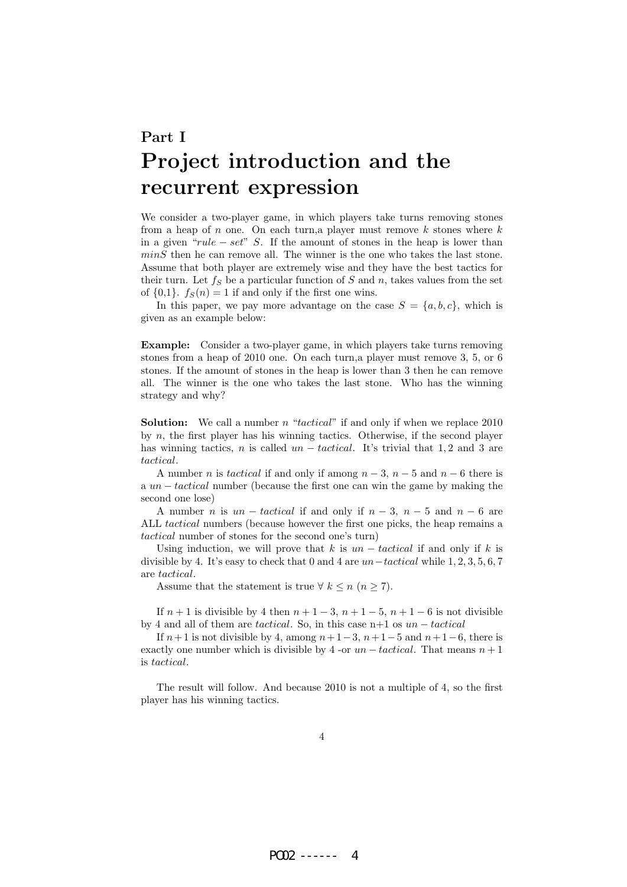# Part I Project introduction and the recurrent expression

We consider a two-player game, in which players take turns removing stones from a heap of n one. On each turn, a player must remove k stones where  $k$ in a given " $rule - set$ " S. If the amount of stones in the heap is lower than  $minS$  then he can remove all. The winner is the one who takes the last stone. Assume that both player are extremely wise and they have the best tactics for their turn. Let  $f_S$  be a particular function of S and n, takes values from the set of  $\{0,1\}$ .  $f_S(n) = 1$  if and only if the first one wins.

In this paper, we pay more advantage on the case  $S = \{a, b, c\}$ , which is given as an example below:

Example: Consider a two-player game, in which players take turns removing stones from a heap of 2010 one. On each turn,a player must remove 3, 5, or 6 stones. If the amount of stones in the heap is lower than 3 then he can remove all. The winner is the one who takes the last stone. Who has the winning strategy and why?

**Solution:** We call a number n "tactical" if and only if when we replace  $2010$ by n, the first player has his winning tactics. Otherwise, if the second player has winning tactics, n is called  $un - tactical$ . It's trivial that 1,2 and 3 are tactical.

A number *n* is tactical if and only if among  $n-3$ ,  $n-5$  and  $n-6$  there is a un − tactical number (because the first one can win the game by making the second one lose)

A number *n* is  $un - tactical$  if and only if  $n - 3$ ,  $n - 5$  and  $n - 6$  are ALL tactical numbers (because however the first one picks, the heap remains a tactical number of stones for the second one's turn)

Using induction, we will prove that k is  $un - tactical$  if and only if k is divisible by 4. It's easy to check that 0 and 4 are  $un-tactical$  while 1, 2, 3, 5, 6, 7 are tactical.

Assume that the statement is true  $\forall k \leq n \ (n \geq 7)$ .

If  $n + 1$  is divisible by 4 then  $n + 1 - 3$ ,  $n + 1 - 5$ ,  $n + 1 - 6$  is not divisible by 4 and all of them are tactical. So, in this case n+1 os  $un -tactical$ 

If  $n+1$  is not divisible by 4, among  $n+1-3$ ,  $n+1-5$  and  $n+1-6$ , there is exactly one number which is divisible by 4 -or  $un -tactical$ . That means  $n + 1$ is tactical.

The result will follow. And because 2010 is not a multiple of 4, so the first player has his winning tactics.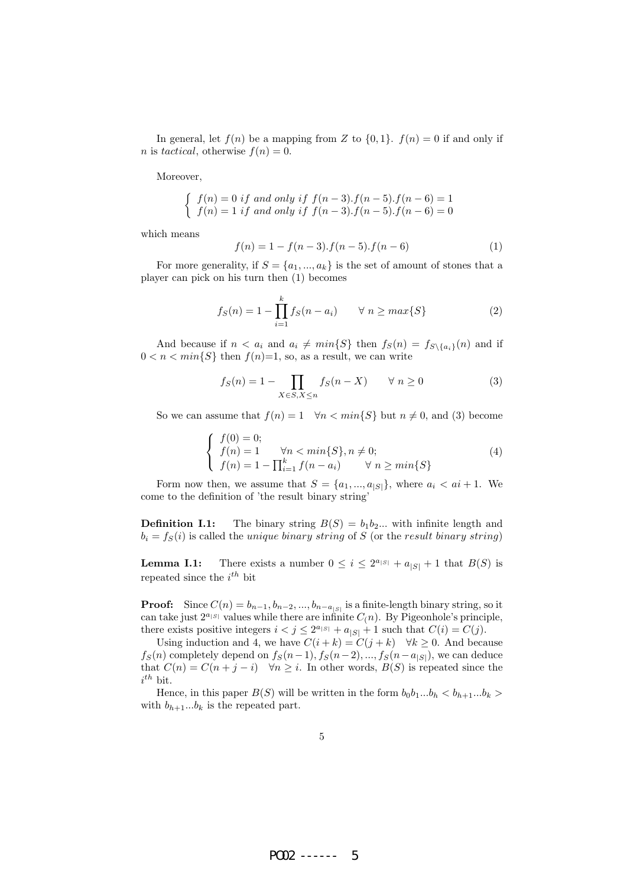In general, let  $f(n)$  be a mapping from Z to  $\{0, 1\}$ .  $f(n) = 0$  if and only if *n* is tactical, otherwise  $f(n) = 0$ .

Moreover,

$$
\begin{cases} f(n) = 0 \text{ if and only if } f(n-3).f(n-5).f(n-6) = 1 \\ f(n) = 1 \text{ if and only if } f(n-3).f(n-5).f(n-6) = 0 \end{cases}
$$

which means

$$
f(n) = 1 - f(n-3) \cdot f(n-5) \cdot f(n-6)
$$
 (1)

For more generality, if  $S = \{a_1, ..., a_k\}$  is the set of amount of stones that a player can pick on his turn then (1) becomes

$$
f_S(n) = 1 - \prod_{i=1}^{k} f_S(n - a_i) \qquad \forall \ n \ge \max\{S\}
$$
 (2)

And because if  $n < a_i$  and  $a_i \neq min\{S\}$  then  $f_S(n) = f_{S\setminus\{a_i\}}(n)$  and if  $0 < n < min\{S\}$  then  $f(n)=1$ , so, as a result, we can write

$$
f_S(n) = 1 - \prod_{X \in S, X \le n} f_S(n - X) \qquad \forall n \ge 0
$$
 (3)

So we can assume that  $f(n) = 1 \quad \forall n < min\{S\}$  but  $n \neq 0$ , and (3) become

$$
\begin{cases}\nf(0) = 0; \\
f(n) = 1 \quad \forall n < min\{S\}, n \neq 0; \\
f(n) = 1 - \prod_{i=1}^{k} f(n - a_i) \quad \forall n \ge min\{S\}\n\end{cases}
$$
\n(4)

Form now then, we assume that  $S = \{a_1, ..., a_{|S|}\}\$ , where  $a_i < ai + 1$ . We come to the definition of 'the result binary string'

**Definition I.1:** The binary string  $B(S) = b_1b_2...$  with infinite length and  $b_i = f_S(i)$  is called the *unique binary string* of S (or the result binary string)

**Lemma I.1:** There exists a number  $0 \leq i \leq 2^{a_{|S|}} + a_{|S|} + 1$  that  $B(S)$  is repeated since the  $i^{th}$  bit

**Proof:** Since  $C(n) = b_{n-1}, b_{n-2}, ..., b_{n-a_{|S|}}$  is a finite-length binary string, so it can take just  $2^{a_{|S|}}$  values while there are infinite  $C(n)$ . By Pigeonhole's principle, there exists positive integers  $i < j \leq 2^{a_{|S|}} + a_{|S|} + 1$  such that  $C(i) = C(j)$ .

Using induction and 4, we have  $C(i + k) = C(j + k)$   $\forall k \ge 0$ . And because  $f_S(n)$  completely depend on  $f_S(n-1)$ ,  $f_S(n-2)$ , ...,  $f_S(n-a_{|S|})$ , we can deduce that  $C(n) = C(n + j - i)$   $\forall n \geq i$ . In other words,  $B(S)$  is repeated since the  $i^{th}$  bit.

Hence, in this paper  $B(S)$  will be written in the form  $b_0b_1...b_h < b_{h+1}...b_k$ with  $b_{h+1}...b_k$  is the repeated part.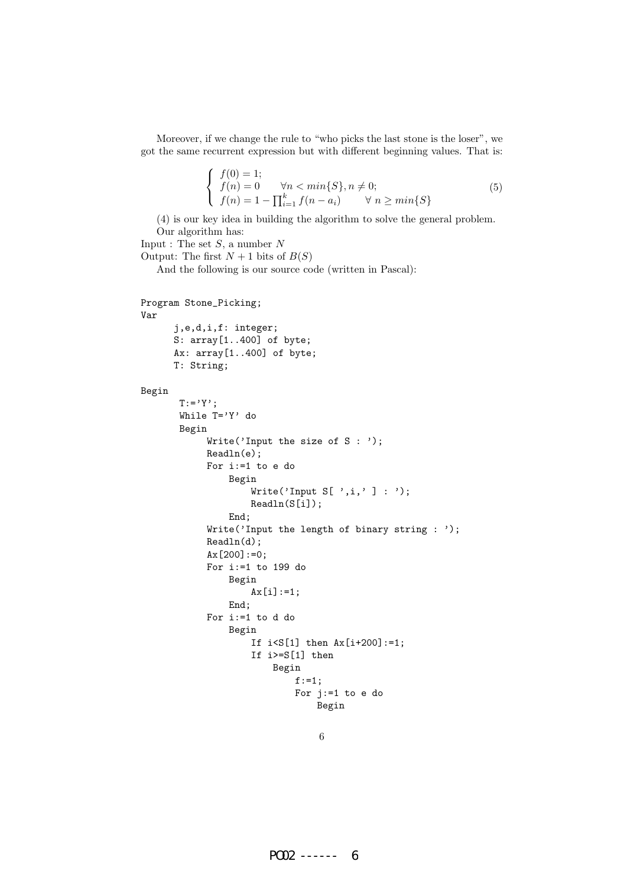Moreover, if we change the rule to "who picks the last stone is the loser", we got the same recurrent expression but with different beginning values. That is:

$$
\begin{cases}\nf(0) = 1; \\
f(n) = 0 \quad \forall n < \min\{S\}, n \neq 0; \\
f(n) = 1 - \prod_{i=1}^{k} f(n - a_i) \quad \forall n \ge \min\{S\}\n\end{cases}
$$
\n(5)

(4) is our key idea in building the algorithm to solve the general problem. Our algorithm has:

```
Input : The set S, a number NOutput: The first N + 1 bits of B(S)And the following is our source code (written in Pascal):
Program Stone_Picking;
Var
      j,e,d,i,f: integer;
      S: array[1..400] of byte;
      Ax: array[1..400] of byte;
      T: String;
Begin
       T:={}^{\prime}Y^{\prime};
       While T='Y' do
       Begin
            Write('Input the size of S : ');
            Readln(e);
            For i:=1 to e do
                 Begin
                     Write('Input S[ ',i,' ] : ');
                     Readln(S[i]);
                 End;
             Write('Input the length of binary string : ');
             Readln(d);
             Ax[200]:=0;For i:=1 to 199 do
                 Begin
                     Ax[i]:=1;
                 End;
            For i:=1 to d do
                 Begin
                     If i < S[1] then Ax[i+200]:=1;If i>=S[1] then
                          Begin
                              f:=1;
                              For j:=1 to e do
```
Begin 6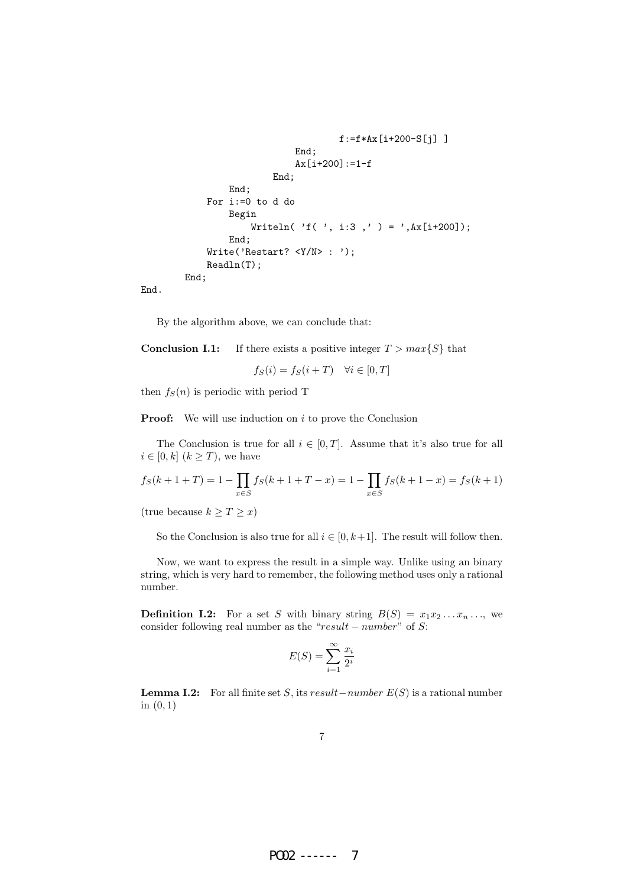```
f:=f*Ax[i+200-S[j] ]
                    End;
                    Ax[i+200]:=1-fEnd;
        End;
    For i:=0 to d do
        Begin
            Writeln( 'f( ', i:3,' ) = ',Ax[i+200]);
        End;
    Write('Restart? <Y/N>: ');
    Readln(T);
End;
```
End.

By the algorithm above, we can conclude that:

**Conclusion I.1:** If there exists a positive integer  $T > max\{S\}$  that

$$
f_S(i) = f_S(i+T) \quad \forall i \in [0, T]
$$

then  $f_S(n)$  is periodic with period T

**Proof:** We will use induction on  $i$  to prove the Conclusion

The Conclusion is true for all  $i \in [0, T]$ . Assume that it's also true for all  $i \in [0, k]$   $(k \geq T)$ , we have

$$
f_S(k+1+T) = 1 - \prod_{x \in S} f_S(k+1+T-x) = 1 - \prod_{x \in S} f_S(k+1-x) = f_S(k+1)
$$

(true because  $k \geq T \geq x$ )

So the Conclusion is also true for all  $i \in [0, k+1]$ . The result will follow then.

Now, we want to express the result in a simple way. Unlike using an binary string, which is very hard to remember, the following method uses only a rational number.

**Definition I.2:** For a set S with binary string  $B(S) = x_1 x_2 \dots x_n \dots$ , we consider following real number as the " $result - number$ " of S:

$$
E(S) = \sum_{i=1}^{\infty} \frac{x_i}{2^i}
$$

**Lemma I.2:** For all finite set S, its result – number  $E(S)$  is a rational number in  $(0, 1)$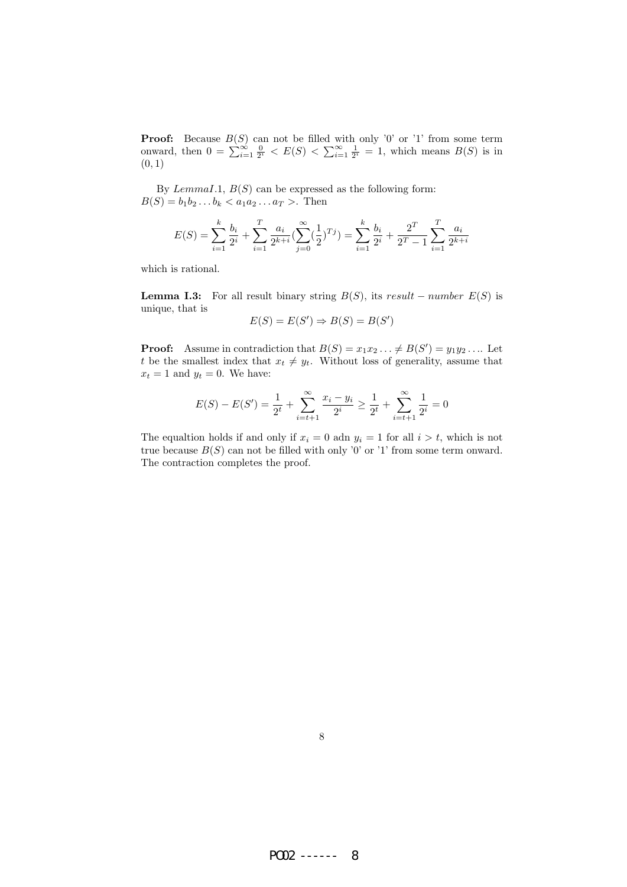**Proof:** Because  $B(S)$  can not be filled with only '0' or '1' from some term onward, then  $0 = \sum_{i=1}^{\infty} \frac{0}{2^i} < E(S) < \sum_{i=1}^{\infty} \frac{1}{2^i} = 1$ , which means  $B(S)$  is in  $(0, 1)$ 

By  $Lemma I.1, B(S)$  can be expressed as the following form:  $B(S) = b_1b_2...b_k < a_1a_2...a_T >$ . Then

$$
E(S) = \sum_{i=1}^{k} \frac{b_i}{2^i} + \sum_{i=1}^{T} \frac{a_i}{2^{k+i}} \left( \sum_{j=0}^{\infty} \left( \frac{1}{2} \right)^{T} j \right) = \sum_{i=1}^{k} \frac{b_i}{2^i} + \frac{2^T}{2^T - 1} \sum_{i=1}^{T} \frac{a_i}{2^{k+i}}
$$

which is rational.

**Lemma I.3:** For all result binary string  $B(S)$ , its result – number  $E(S)$  is unique, that is

$$
E(S) = E(S') \Rightarrow B(S) = B(S')
$$

**Proof:** Assume in contradiction that  $B(S) = x_1 x_2 \dots \neq B(S') = y_1 y_2 \dots$  Let t be the smallest index that  $x_t \neq y_t$ . Without loss of generality, assume that  $x_t = 1$  and  $y_t = 0$ . We have:

$$
E(S) - E(S') = \frac{1}{2^t} + \sum_{i=t+1}^{\infty} \frac{x_i - y_i}{2^i} \ge \frac{1}{2^t} + \sum_{i=t+1}^{\infty} \frac{1}{2^i} = 0
$$

The equaltion holds if and only if  $x_i = 0$  adn  $y_i = 1$  for all  $i > t$ , which is not true because  $B(S)$  can not be filled with only '0' or '1' from some term onward. The contraction completes the proof.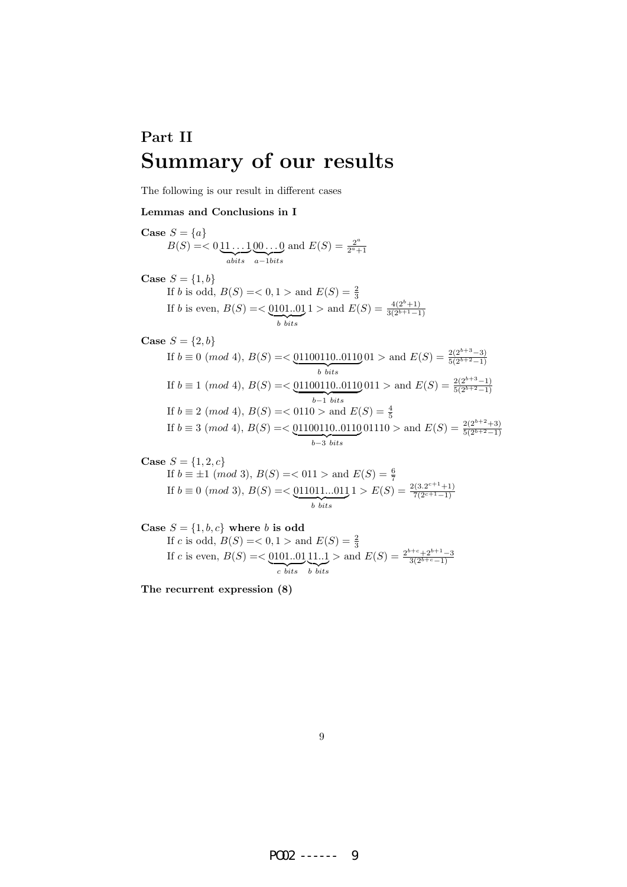# Part II Summary of our results

The following is our result in different cases

#### Lemmas and Conclusions in I

Case  $S = \{a\}$  $B(S) = 0.11...1$  ${\overline{a} bits}$  $[00 \dots 0]$  $a-1bits$ and  $E(S) = \frac{2^a}{2^a}$  $\overline{2^a+1}$ 

**Case** 
$$
S = \{1, b\}
$$
  
If b is odd,  $B(S) = < 0, 1 >$  and  $E(S) = \frac{2}{3}$   
If b is even,  $B(S) = < \underbrace{0101...01}_{b bits} 1 >$  and  $E(S) = \frac{4(2^b+1)}{3(2^{b+1}-1)}$ 

Case 
$$
S = \{2, b\}
$$

If 
$$
b \equiv 0 \pmod{4}
$$
,  $B(S) = \text{${\leq$}}\frac{01100110...0110}{b \text{ bits}}$   
\nIf  $b \equiv 1 \pmod{4}$ ,  $B(S) = \text{${\leq$}}\frac{01100110...0110}{b \text{ bits}}$   
\nIf  $b \equiv 1 \pmod{4}$ ,  $B(S) = \text{${\leq$}}\frac{01100110...0110}{b-1 \text{ bits}}$   
\nIf  $b \equiv 2 \pmod{4}$ ,  $B(S) = \text{${\leq$}}\frac{01100110...0110}{b-1 \text{ bits}}$   
\nIf  $b \equiv 3 \pmod{4}$ ,  $B(S) = \text{${\leq$}}\frac{01100110...0110}{b-3 \text{ bits}}$   
\nIf  $b \equiv 3 \pmod{4}$ ,  $B(S) = \text{${\leq$}}\frac{01100110...0110}{b-3 \text{ bits}}$ 

**Case** 
$$
S = \{1, 2, c\}
$$

If 
$$
b \equiv \pm 1 \pmod{3}
$$
,  $B(S) = <011 >$  and  $E(S) = \frac{6}{7}$   
If  $b \equiv 0 \pmod{3}$ ,  $B(S) = <\underbrace{011011...011}_{b \text{ bits}} 1 > E(S) = \frac{2(3.2^{c+1}+1)}{7(2^{c+1}-1)}$ 

Case  $S = \{1, b, c\}$  where b is odd If *c* is odd,  $B(S) = 0, 1 >$  and  $E(S) = \frac{2}{3}$ If c is even,  $B(S) = 0.101...01$  ${c}$  bits 11..1  $\overline{b}$  bits > and  $E(S) = \frac{2^{b+c} + 2^{b+1} - 3}{3(2^{b+c}-1)}$ 

The recurrent expression (8)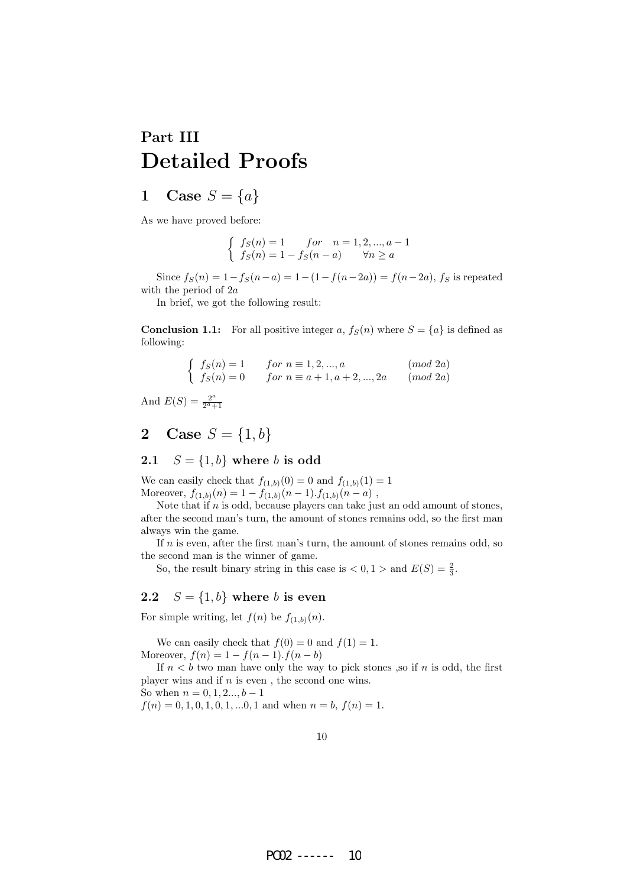# Part III Detailed Proofs

## 1 Case  $S = \{a\}$

As we have proved before:

$$
\begin{cases}\n f_S(n) = 1 & \text{for} \quad n = 1, 2, \dots, a - 1 \\
 f_S(n) = 1 - f_S(n - a) & \forall n \ge a\n\end{cases}
$$

Since  $f_S(n) = 1 - f_S(n-a) = 1 - (1 - f(n-2a)) = f(n-2a)$ , f<sub>S</sub> is repeated with the period of 2a

In brief, we got the following result:

**Conclusion 1.1:** For all positive integer a,  $f_S(n)$  where  $S = \{a\}$  is defined as following:

 fS(n) = 1 for n ≡ 1, 2, ..., a (mod 2a) fS(n) = 0 for n ≡ a + 1, a + 2, ..., 2a (mod 2a)

And  $E(S) = \frac{2^a}{2^a}$  $\overline{2^a+1}$ 

## 2 Case  $S = \{1, b\}$

### 2.1  $S = \{1, b\}$  where b is odd

We can easily check that  $f_{(1,b)}(0) = 0$  and  $f_{(1,b)}(1) = 1$ Moreover,  $f_{(1,b)}(n) = 1 - f_{(1,b)}(n-1) \cdot f_{(1,b)}(n-a)$ ,

Note that if  $n$  is odd, because players can take just an odd amount of stones, after the second man's turn, the amount of stones remains odd, so the first man always win the game.

If  $n$  is even, after the first man's turn, the amount of stones remains odd, so the second man is the winner of game.

So, the result binary string in this case is  $\lt 0, 1 >$  and  $E(S) = \frac{2}{3}$ .

#### 2.2  $S = \{1, b\}$  where b is even

For simple writing, let  $f(n)$  be  $f_{(1,b)}(n)$ .

We can easily check that  $f(0) = 0$  and  $f(1) = 1$ . Moreover,  $f(n) = 1 - f(n-1) \cdot f(n-b)$ 

If  $n < b$  two man have only the way to pick stones , so if n is odd, the first player wins and if  $n$  is even, the second one wins.

So when  $n = 0, 1, 2, \ldots, b - 1$ 

 $f(n) = 0, 1, 0, 1, 0, 1, \dots, 0, 1$  and when  $n = b$ ,  $f(n) = 1$ .

10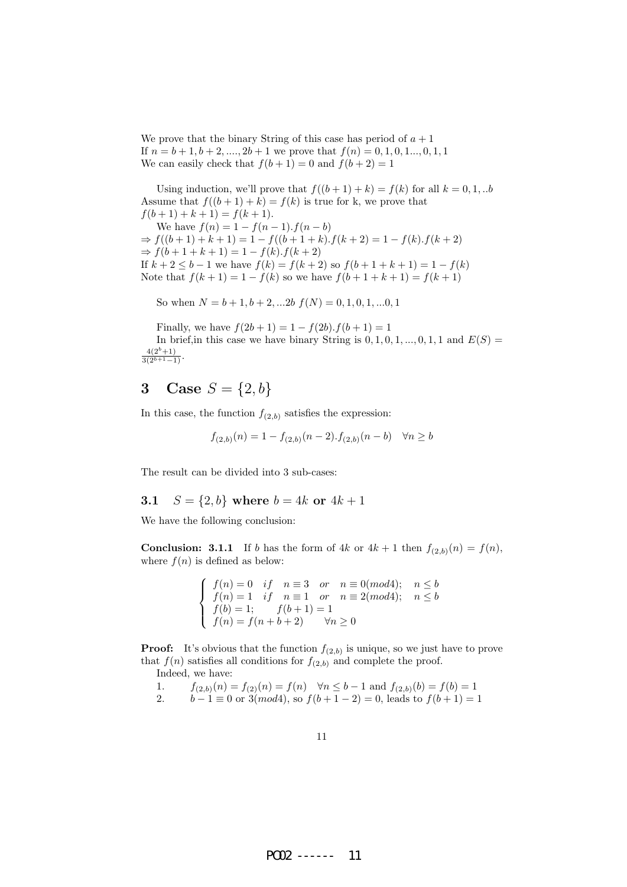We prove that the binary String of this case has period of  $a + 1$ If  $n = b + 1, b + 2, \ldots, 2b + 1$  we prove that  $f(n) = 0, 1, 0, 1, \ldots, 0, 1, 1$ We can easily check that  $f(b+1) = 0$  and  $f(b+2) = 1$ 

Using induction, we'll prove that  $f((b+1) + k) = f(k)$  for all  $k = 0, 1, ...b$ Assume that  $f((b+1)+k) = f(k)$  is true for k, we prove that  $f(b+1) + k + 1 = f(k+1).$ We have  $f(n) = 1 - f(n-1) \cdot f(n-b)$  $\Rightarrow f((b+1)+k+1) = 1 - f((b+1+k).f(k+2)) = 1 - f(k).f(k+2)$  $\Rightarrow$  f(b + 1 + k + 1) = 1 - f(k).f(k + 2) If  $k + 2 \le b - 1$  we have  $f(k) = f(k + 2)$  so  $f(b + 1 + k + 1) = 1 - f(k)$ 

Note that  $f(k + 1) = 1 - f(k)$  so we have  $f(b + 1 + k + 1) = f(k + 1)$ 

So when  $N = b + 1, b + 2, \dots 2b$   $f(N) = 0, 1, 0, 1, \dots 0, 1$ 

Finally, we have  $f(2b+1) = 1 - f(2b) \cdot f(b+1) = 1$ 

In brief, in this case we have binary String is  $0, 1, 0, 1, ..., 0, 1, 1$  and  $E(S) =$  $rac{4(2^b+1)}{3(2^{b+1}-1)}$ .

# 3 Case  $S = \{2, b\}$

In this case, the function  $f_{(2,b)}$  satisfies the expression:

$$
f_{(2,b)}(n) = 1 - f_{(2,b)}(n-2) \cdot f_{(2,b)}(n-b) \quad \forall n \ge b
$$

The result can be divided into 3 sub-cases:

#### 3.1  $S = \{2, b\}$  where  $b = 4k$  or  $4k + 1$

We have the following conclusion:

**Conclusion: 3.1.1** If b has the form of  $4k$  or  $4k + 1$  then  $f_{(2,b)}(n) = f(n)$ , where  $f(n)$  is defined as below:

$$
\begin{cases}\n f(n) = 0 & if \quad n \equiv 3 \quad or \quad n \equiv 0 \pmod{4}; \quad n \le b \\
 f(n) = 1 & if \quad n \equiv 1 \quad or \quad n \equiv 2 \pmod{4}; \quad n \le b \\
 f(b) = 1; \qquad f(b+1) = 1 \\
 f(n) = f(n+b+2) & \forall n \ge 0\n\end{cases}
$$

**Proof:** It's obvious that the function  $f_{(2,b)}$  is unique, so we just have to prove that  $f(n)$  satisfies all conditions for  $f_{(2,b)}$  and complete the proof. Indeed, we have:

- 1.  $f_{(2,b)}(n) = f_{(2)}(n) = f(n) \quad \forall n \leq b-1 \text{ and } f_{(2,b)}(b) = f(b) = 1$ <br>2.  $b-1 \equiv 0 \text{ or } 3 \pmod{4}$ , so  $f(b+1-2) = 0$ , leads to  $f(b+1) =$
- $b-1 \equiv 0$  or  $3(mod 4)$ , so  $f(b+1-2) = 0$ , leads to  $f(b+1) = 1$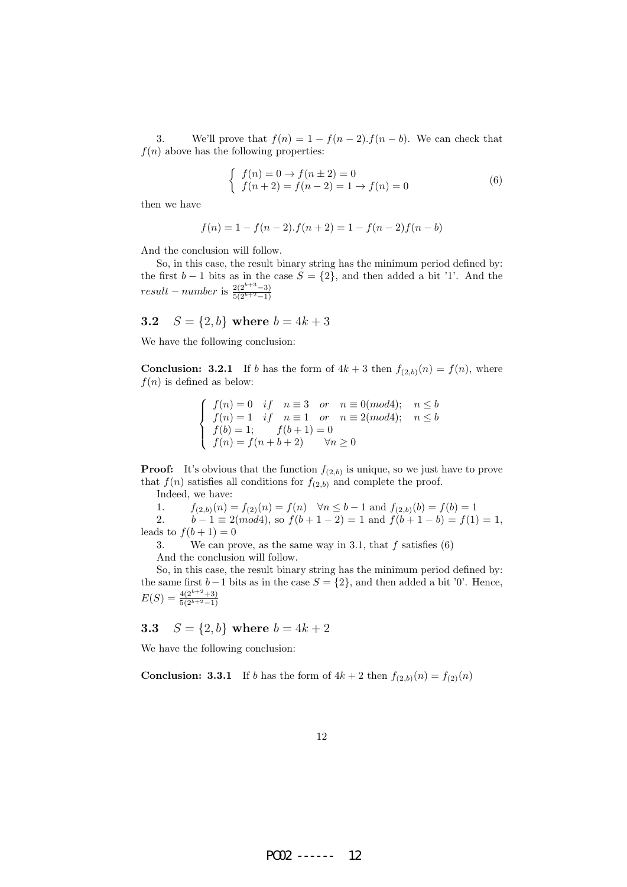3. We'll prove that  $f(n) = 1 - f(n-2) \cdot f(n-b)$ . We can check that  $f(n)$  above has the following properties:

$$
\begin{cases}\nf(n) = 0 \to f(n \pm 2) = 0 \\
f(n+2) = f(n-2) = 1 \to f(n) = 0\n\end{cases}
$$
\n(6)

then we have

$$
f(n) = 1 - f(n-2) \cdot f(n+2) = 1 - f(n-2)f(n-b)
$$

And the conclusion will follow.

So, in this case, the result binary string has the minimum period defined by: the first  $b - 1$  bits as in the case  $S = \{2\}$ , and then added a bit '1'. And the result – number is  $\frac{2(2^{b+3}-3)}{5(2^{b+2}-1)}$ 

### 3.2  $S = \{2, b\}$  where  $b = 4k + 3$

We have the following conclusion:

**Conclusion: 3.2.1** If b has the form of  $4k + 3$  then  $f_{(2,b)}(n) = f(n)$ , where  $f(n)$  is defined as below:

$$
\begin{cases}\nf(n) = 0 & if \quad n \equiv 3 \quad or \quad n \equiv 0(mod4); \quad n \le b \\
f(n) = 1 & if \quad n \equiv 1 \quad or \quad n \equiv 2(mod4); \quad n \le b \\
f(b) = 1; \qquad f(b+1) = 0 \\
f(n) = f(n+b+2) & \forall n \ge 0\n\end{cases}
$$

**Proof:** It's obvious that the function  $f_{(2,b)}$  is unique, so we just have to prove that  $f(n)$  satisfies all conditions for  $f_{(2,b)}$  and complete the proof.

Indeed, we have:

| 1. | $f_{(2,b)}(n) = f_{(2)}(n) = f(n)$                                                            | $\forall n \leq b-1$ and $f_{(2,b)}(b) = f(b) = 1$ |
|----|-----------------------------------------------------------------------------------------------|----------------------------------------------------|
| 2. | $b-1 \equiv 2 \pmod{4}$ , so $f(b+1-2) = 1$ and $f(b+1-b) = f(1) = 1$ , leads to $f(b+1) = 0$ |                                                    |

3. We can prove, as the same way in 3.1, that  $f$  satisfies  $(6)$ 

And the conclusion will follow.

So, in this case, the result binary string has the minimum period defined by: the same first  $b-1$  bits as in the case  $S = \{2\}$ , and then added a bit '0'. Hence,  $E(S) = \frac{4(2^{b+2}+3)}{5(2^{b+2}-1)}$ 

### **3.3**  $S = \{2, b\}$  where  $b = 4k + 2$

We have the following conclusion:

**Conclusion: 3.3.1** If b has the form of  $4k + 2$  then  $f_{(2,b)}(n) = f_{(2)}(n)$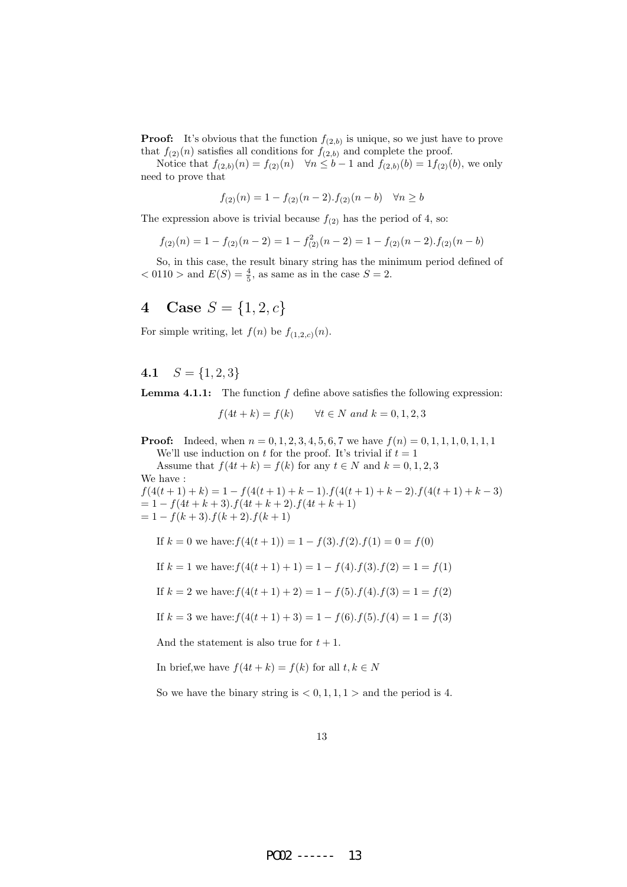**Proof:** It's obvious that the function  $f_{(2,b)}$  is unique, so we just have to prove that  $f_{(2)}(n)$  satisfies all conditions for  $f_{(2,b)}$  and complete the proof.

Notice that  $f_{(2,b)}(n) = f_{(2)}(n) \quad \forall n \leq b-1$  and  $f_{(2,b)}(b) = 1$  $f_{(2)}(b)$ , we only need to prove that

$$
f_{(2)}(n) = 1 - f_{(2)}(n-2) \cdot f_{(2)}(n-b) \quad \forall n \ge b
$$

The expression above is trivial because  $f_{(2)}$  has the period of 4, so:

$$
f_{(2)}(n) = 1 - f_{(2)}(n-2) = 1 - f_{(2)}^2(n-2) = 1 - f_{(2)}(n-2) \cdot f_{(2)}(n-b)
$$

So, in this case, the result binary string has the minimum period defined of  $< 0110 >$  and  $E(S) = \frac{4}{5}$ , as same as in the case  $S = 2$ .

## 4 Case  $S = \{1, 2, c\}$

For simple writing, let  $f(n)$  be  $f_{(1,2,c)}(n)$ .

4.1  $S = \{1, 2, 3\}$ 

**Lemma 4.1.1:** The function  $f$  define above satisfies the following expression:

$$
f(4t + k) = f(k)
$$
  $\forall t \in N \text{ and } k = 0, 1, 2, 3$ 

**Proof:** Indeed, when  $n = 0, 1, 2, 3, 4, 5, 6, 7$  we have  $f(n) = 0, 1, 1, 1, 0, 1, 1, 1$ We'll use induction on t for the proof. It's trivial if  $t = 1$ 

Assume that  $f(4t + k) = f(k)$  for any  $t \in N$  and  $k = 0, 1, 2, 3$ We have :

 $f(4(t + 1) + k) = 1 - f(4(t + 1) + k - 1) \cdot f(4(t + 1) + k - 2) \cdot f(4(t + 1) + k - 3)$  $= 1 - f(4t + k + 3) \cdot f(4t + k + 2) \cdot f(4t + k + 1)$  $= 1 - f(k+3) \cdot f(k+2) \cdot f(k+1)$ 

If 
$$
k = 0
$$
 we have:  $f(4(t+1)) = 1 - f(3) \cdot f(2) \cdot f(1) = 0 = f(0)$ 

If  $k = 1$  we have:  $f(4(t + 1) + 1) = 1 - f(4) \cdot f(3) \cdot f(2) = 1 = f(1)$ 

If 
$$
k = 2
$$
 we have:  $f(4(t + 1) + 2) = 1 - f(5)$ .  $f(4)$ .  $f(3) = 1 = f(2)$ 

If 
$$
k = 3
$$
 we have:  $f(4(t+1) + 3) = 1 - f(6)$ .  $f(5)$ .  $f(4) = 1 = f(3)$ 

And the statement is also true for  $t + 1$ .

In brief,we have  $f(4t + k) = f(k)$  for all  $t, k \in N$ 

So we have the binary string is  $< 0, 1, 1, 1 >$  and the period is 4.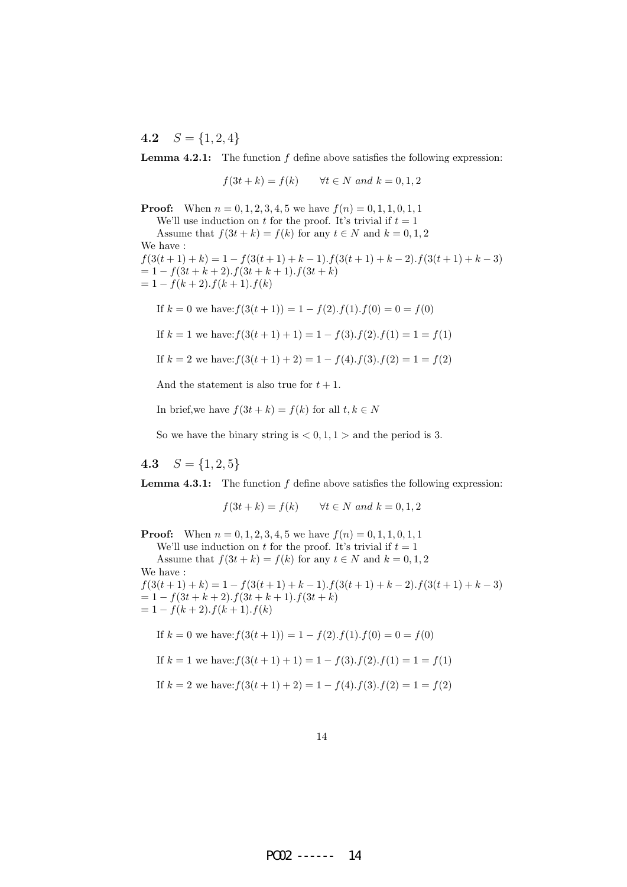4.2  $S = \{1, 2, 4\}$ 

**Lemma 4.2.1:** The function  $f$  define above satisfies the following expression:

 $f(3t + k) = f(k)$   $\forall t \in N \text{ and } k = 0, 1, 2$ 

**Proof:** When  $n = 0, 1, 2, 3, 4, 5$  we have  $f(n) = 0, 1, 1, 0, 1, 1$ We'll use induction on t for the proof. It's trivial if  $t = 1$ Assume that  $f(3t + k) = f(k)$  for any  $t \in N$  and  $k = 0, 1, 2$ We have :  $f(3(t + 1) + k) = 1 - f(3(t + 1) + k - 1) \cdot f(3(t + 1) + k - 2) \cdot f(3(t + 1) + k - 3)$  $= 1 - f(3t + k + 2) \cdot f(3t + k + 1) \cdot f(3t + k)$  $= 1 - f(k + 2) \cdot f(k + 1) \cdot f(k)$ 

If  $k = 0$  we have:  $f(3(t + 1)) = 1 - f(2) \cdot f(1) \cdot f(0) = 0 = f(0)$ 

If  $k = 1$  we have:  $f(3(t + 1) + 1) = 1 - f(3) \cdot f(2) \cdot f(1) = 1 = f(1)$ 

If 
$$
k = 2
$$
 we have:  $f(3(t+1) + 2) = 1 - f(4)$ .  $f(3)$ .  $f(2) = 1 = f(2)$ 

And the statement is also true for  $t + 1$ .

In brief,we have  $f(3t + k) = f(k)$  for all  $t, k \in N$ 

So we have the binary string is  $< 0, 1, 1 >$  and the period is 3.

4.3  $S = \{1, 2, 5\}$ 

**Lemma 4.3.1:** The function  $f$  define above satisfies the following expression:

$$
f(3t + k) = f(k) \qquad \forall t \in N \text{ and } k = 0, 1, 2
$$

**Proof:** When  $n = 0, 1, 2, 3, 4, 5$  we have  $f(n) = 0, 1, 1, 0, 1, 1$ We'll use induction on t for the proof. It's trivial if  $t = 1$ Assume that  $f(3t + k) = f(k)$  for any  $t \in N$  and  $k = 0, 1, 2$ We have :  $f(3(t+1)+k) = 1 - f(3(t+1)+k-1) \cdot f(3(t+1)+k-2) \cdot f(3(t+1)+k-3)$  $= 1 - f(3t + k + 2) \cdot f(3t + k + 1) \cdot f(3t + k)$ 

 $= 1 - f(k + 2) \cdot f(k + 1) \cdot f(k)$ 

If 
$$
k = 0
$$
 we have:  $f(3(t+1)) = 1 - f(2) \cdot f(1) \cdot f(0) = 0 = f(0)$ 

If 
$$
k = 1
$$
 we have:  $f(3(t+1) + 1) = 1 - f(3)$ .  $f(2)$ .  $f(1) = 1 = f(1)$ 

If 
$$
k = 2
$$
 we have:  $f(3(t+1) + 2) = 1 - f(4)$ .  $f(3)$ .  $f(2) = 1 = f(2)$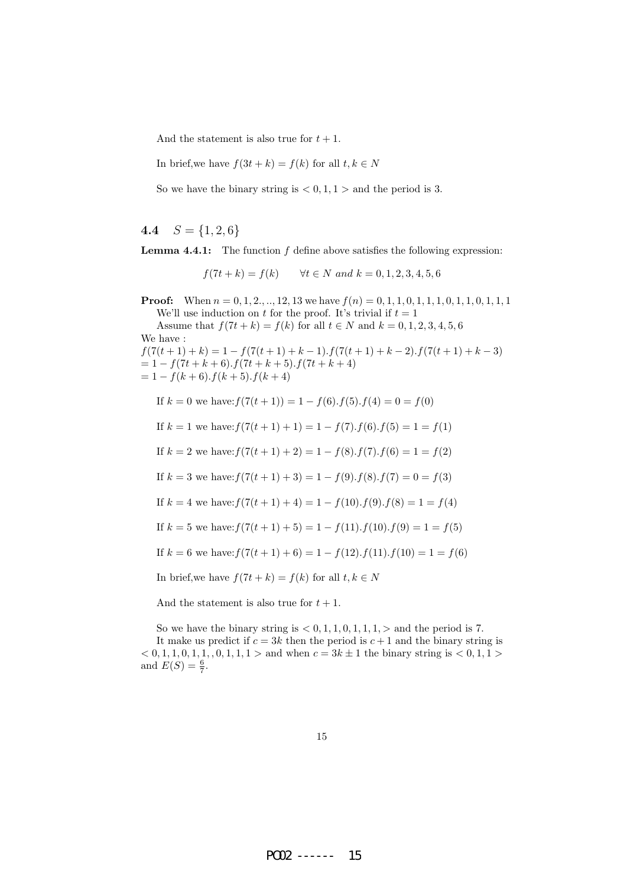And the statement is also true for  $t + 1$ .

In brief,we have  $f(3t + k) = f(k)$  for all  $t, k \in N$ 

So we have the binary string is  $< 0, 1, 1 >$  and the period is 3.

4.4  $S = \{1, 2, 6\}$ 

**Lemma 4.4.1:** The function  $f$  define above satisfies the following expression:

 $f(7t + k) = f(k)$   $\forall t \in N \text{ and } k = 0, 1, 2, 3, 4, 5, 6$ 

**Proof:** When  $n = 0, 1, 2, ..., 12, 13$  we have  $f(n) = 0, 1, 1, 0, 1, 1, 1, 0, 1, 1, 0, 1, 1, 1$ We'll use induction on t for the proof. It's trivial if  $t = 1$ 

Assume that  $f(7t + k) = f(k)$  for all  $t \in N$  and  $k = 0, 1, 2, 3, 4, 5, 6$ We have :  $f(7(t+1)+k) = 1 - f(7(t+1)+k-1) \cdot f(7(t+1)+k-2) \cdot f(7(t+1)+k-3)$  $= 1 - f(7t + k + 6) \cdot f(7t + k + 5) \cdot f(7t + k + 4)$ 

 $= 1 - f(k+6) \cdot f(k+5) \cdot f(k+4)$ 

If  $k = 0$  we have:  $f(7(t + 1)) = 1 - f(6) \cdot f(5) \cdot f(4) = 0 = f(0)$ 

If  $k = 1$  we have:  $f(7(t + 1) + 1) = 1 - f(7)$ .  $f(6)$ .  $f(5) = 1 = f(1)$ 

If  $k = 2$  we have:  $f(7(t + 1) + 2) = 1 - f(8) \cdot f(7) \cdot f(6) = 1 = f(2)$ 

If  $k = 3$  we have:  $f(7(t + 1) + 3) = 1 - f(9)$ .  $f(8)$ .  $f(7) = 0 = f(3)$ 

If  $k = 4$  we have:  $f(7(t + 1) + 4) = 1 - f(10) \cdot f(9) \cdot f(8) = 1 = f(4)$ 

If  $k = 5$  we have:  $f(7(t + 1) + 5) = 1 - f(11) \cdot f(10) \cdot f(9) = 1 = f(5)$ 

If 
$$
k = 6
$$
 we have:  $f(7(t + 1) + 6) = 1 - f(12)$ .  $f(11)$ .  $f(10) = 1 = f(6)$ 

In brief, we have  $f(7t + k) = f(k)$  for all  $t, k \in N$ 

And the statement is also true for  $t + 1$ .

So we have the binary string is  $< 0, 1, 1, 0, 1, 1, 1, \rhd$  and the period is 7. It make us predict if  $c = 3k$  then the period is  $c + 1$  and the binary string is  $< 0, 1, 1, 0, 1, 1, 0, 1, 1, 1 >$  and when  $c = 3k \pm 1$  the binary string is  $< 0, 1, 1 >$ and  $E(S) = \frac{6}{7}$ .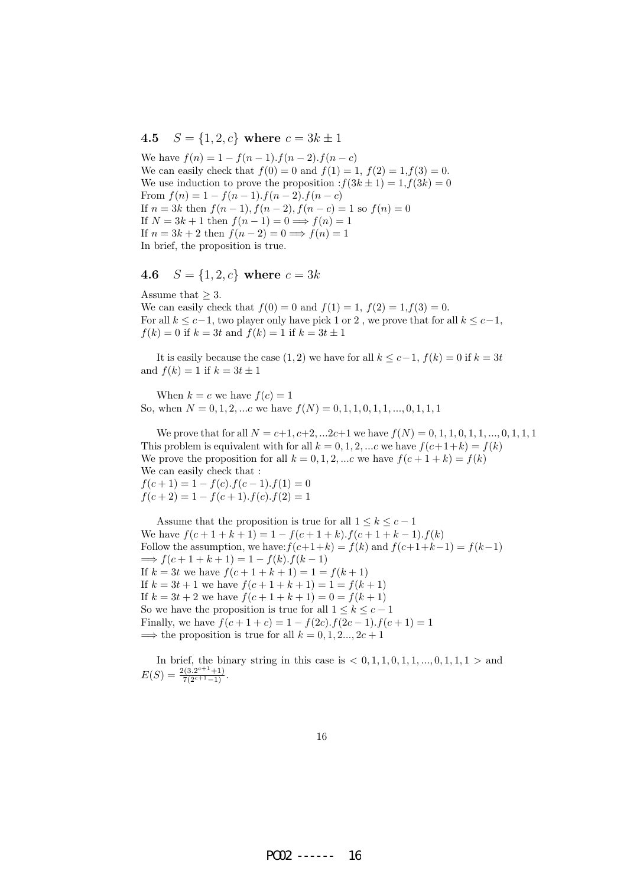### 4.5  $S = \{1, 2, c\}$  where  $c = 3k \pm 1$

We have  $f(n) = 1 - f(n-1) \cdot f(n-2) \cdot f(n-c)$ We can easily check that  $f(0) = 0$  and  $f(1) = 1$ ,  $f(2) = 1, f(3) = 0$ . We use induction to prove the proposition  $:f(3k \pm 1) = 1, f(3k) = 0$ From  $f(n) = 1 - f(n-1) \cdot f(n-2) \cdot f(n-c)$ If  $n = 3k$  then  $f(n-1)$ ,  $f(n-2)$ ,  $f(n-c) = 1$  so  $f(n) = 0$ If  $N = 3k + 1$  then  $f(n-1) = 0 \implies f(n) = 1$ If  $n = 3k + 2$  then  $f(n-2) = 0 \implies f(n) = 1$ In brief, the proposition is true.

## 4.6  $S = \{1, 2, c\}$  where  $c = 3k$

Assume that  $\geq 3$ .

We can easily check that  $f(0) = 0$  and  $f(1) = 1$ ,  $f(2) = 1$ ,  $f(3) = 0$ . For all  $k \leq c-1$ , two player only have pick 1 or 2, we prove that for all  $k \leq c-1$ ,  $f(k) = 0$  if  $k = 3t$  and  $f(k) = 1$  if  $k = 3t \pm 1$ 

It is easily because the case  $(1, 2)$  we have for all  $k \leq c-1$ ,  $f(k) = 0$  if  $k = 3t$ and  $f(k) = 1$  if  $k = 3t \pm 1$ 

When  $k = c$  we have  $f(c) = 1$ So, when  $N = 0, 1, 2, ...c$  we have  $f(N) = 0, 1, 1, 0, 1, 1, ... , 0, 1, 1, 1$ 

We prove that for all  $N = c+1, c+2, ...2c+1$  we have  $f(N) = 0, 1, 1, 0, 1, 1, ... , 0, 1, 1, 1$ This problem is equivalent with for all  $k = 0, 1, 2, ...$  we have  $f(c+1+k) = f(k)$ We prove the proposition for all  $k = 0, 1, 2, ...c$  we have  $f(c + 1 + k) = f(k)$ We can easily check that :  $f(c+1) = 1 - f(c) \cdot f(c-1) \cdot f(1) = 0$ 

 $f(c+2) = 1 - f(c+1) \cdot f(c) \cdot f(2) = 1$ 

Assume that the proposition is true for all  $1 \leq k \leq c-1$ We have  $f(c+1+k+1) = 1 - f(c+1+k) \cdot f(c+1+k-1) \cdot f(k)$ Follow the assumption, we have:  $f(c+1+k) = f(k)$  and  $f(c+1+k-1) = f(k-1)$  $\implies f(c+1+k+1) = 1 - f(k) \cdot f(k-1)$ If  $k = 3t$  we have  $f(c + 1 + k + 1) = 1 = f(k + 1)$ If  $k = 3t + 1$  we have  $f(c + 1 + k + 1) = 1 = f(k + 1)$ If  $k = 3t + 2$  we have  $f(c + 1 + k + 1) = 0 = f(k + 1)$ So we have the proposition is true for all  $1 \leq k \leq c-1$ Finally, we have  $f(c+1+c) = 1 - f(2c) \cdot f(2c-1) \cdot f(c+1) = 1$  $\implies$  the proposition is true for all  $k = 0, 1, 2, \ldots, 2c + 1$ 

In brief, the binary string in this case is  $< 0, 1, 1, 0, 1, 1, \ldots, 0, 1, 1, 1 >$  and  $E(S) = \frac{2(3.2^{c+1}+1)}{7(2^{c+1}-1)}$ .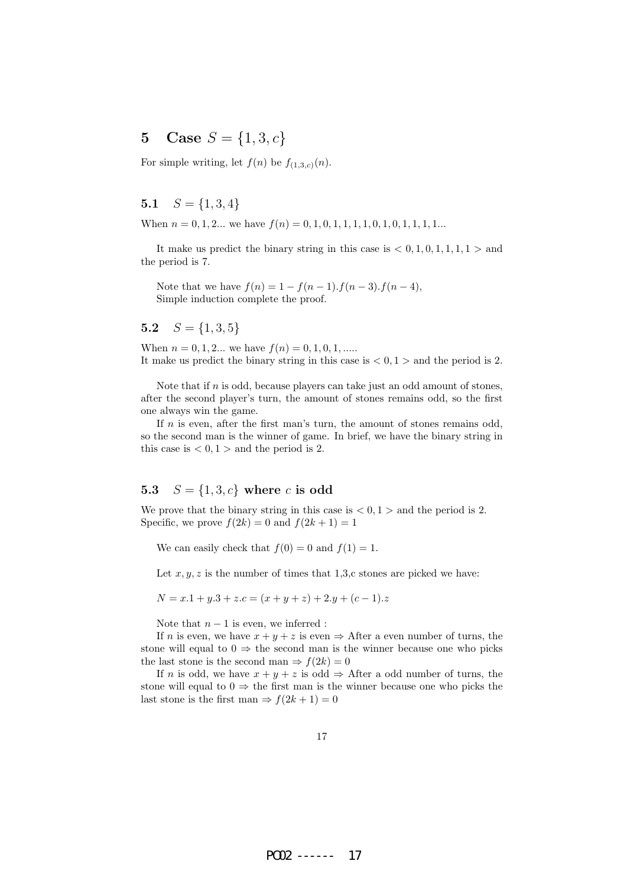# 5 Case  $S = \{1, 3, c\}$

For simple writing, let  $f(n)$  be  $f_{(1,3,c)}(n)$ .

## 5.1  $S = \{1, 3, 4\}$

When  $n = 0, 1, 2...$  we have  $f(n) = 0, 1, 0, 1, 1, 1, 1, 0, 1, 0, 1, 1, 1, 1...$ 

It make us predict the binary string in this case is  $< 0, 1, 0, 1, 1, 1, 1 >$  and the period is 7.

Note that we have  $f(n) = 1 - f(n-1) \cdot f(n-3) \cdot f(n-4)$ , Simple induction complete the proof.

5.2  $S = \{1, 3, 5\}$ 

When  $n = 0, 1, 2...$  we have  $f(n) = 0, 1, 0, 1, ...$ It make us predict the binary string in this case is  $< 0, 1 >$  and the period is 2.

Note that if  $n$  is odd, because players can take just an odd amount of stones, after the second player's turn, the amount of stones remains odd, so the first one always win the game.

If  $n$  is even, after the first man's turn, the amount of stones remains odd, so the second man is the winner of game. In brief, we have the binary string in this case is  $< 0, 1 >$  and the period is 2.

#### 5.3  $S = \{1, 3, c\}$  where c is odd

We prove that the binary string in this case is  $< 0, 1 >$  and the period is 2. Specific, we prove  $f(2k) = 0$  and  $f(2k + 1) = 1$ 

We can easily check that  $f(0) = 0$  and  $f(1) = 1$ .

Let  $x, y, z$  is the number of times that 1,3,c stones are picked we have:

 $N = x.1 + y.3 + z.c = (x + y + z) + 2.y + (c - 1).z$ 

Note that  $n - 1$  is even, we inferred :

If *n* is even, we have  $x + y + z$  is even  $\Rightarrow$  After a even number of turns, the stone will equal to  $0 \Rightarrow$  the second man is the winner because one who picks the last stone is the second man  $\Rightarrow f(2k) = 0$ 

If *n* is odd, we have  $x + y + z$  is odd  $\Rightarrow$  After a odd number of turns, the stone will equal to  $0 \Rightarrow$  the first man is the winner because one who picks the last stone is the first man  $\Rightarrow$   $f(2k+1) = 0$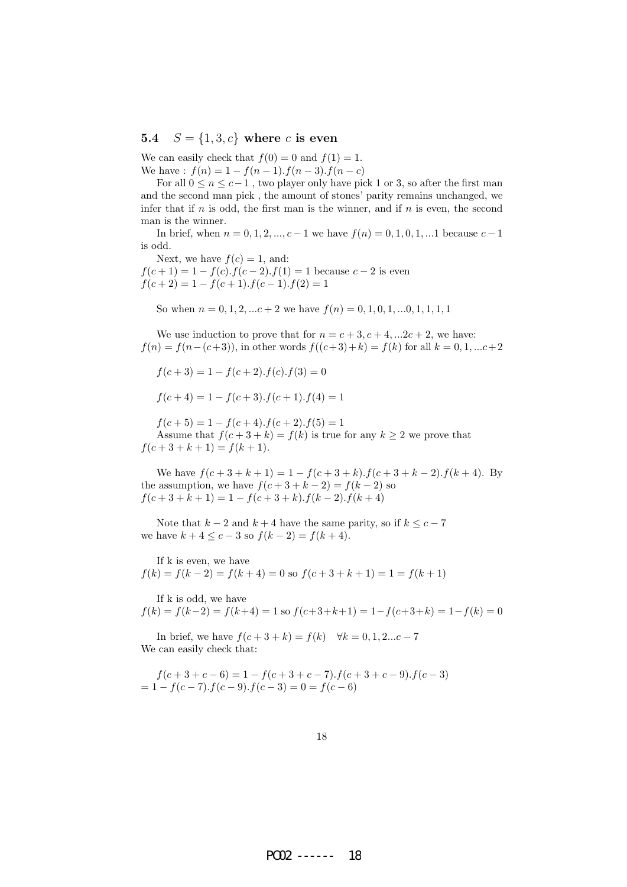#### 5.4  $S = \{1, 3, c\}$  where c is even

We can easily check that  $f(0) = 0$  and  $f(1) = 1$ . We have :  $f(n) = 1 - f(n-1) \cdot f(n-3) \cdot f(n-c)$ 

For all  $0 \le n \le c-1$ , two player only have pick 1 or 3, so after the first man and the second man pick , the amount of stones' parity remains unchanged, we infer that if  $n$  is odd, the first man is the winner, and if  $n$  is even, the second man is the winner.

In brief, when  $n = 0, 1, 2, ..., c - 1$  we have  $f(n) = 0, 1, 0, 1, ...$  because  $c - 1$ is odd.

Next, we have  $f(c) = 1$ , and:  $f(c+1) = 1 - f(c) \cdot f(c-2) \cdot f(1) = 1$  because  $c-2$  is even  $f(c+2) = 1 - f(c+1) \cdot f(c-1) \cdot f(2) = 1$ 

So when  $n = 0, 1, 2, \dots c + 2$  we have  $f(n) = 0, 1, 0, 1, \dots 0, 1, 1, 1, 1$ 

We use induction to prove that for  $n = c + 3, c + 4, ... 2c + 2$ , we have:  $f(n) = f(n-(c+3))$ , in other words  $f((c+3)+k) = f(k)$  for all  $k = 0, 1, ...c+2$ 

$$
f(c+3) = 1 - f(c+2) \cdot f(c) \cdot f(3) = 0
$$

$$
f(c+4) = 1 - f(c+3) \cdot f(c+1) \cdot f(4) = 1
$$

 $f(c+5) = 1 - f(c+4) \cdot f(c+2) \cdot f(5) = 1$ Assume that  $f(c+3+k) = f(k)$  is true for any  $k \ge 2$  we prove that  $f(c+3+k+1) = f(k+1).$ 

We have  $f(c+3+k+1) = 1 - f(c+3+k) \cdot f(c+3+k-2) \cdot f(k+4)$ . By the assumption, we have  $f(c+3+k-2) = f(k-2)$  so  $f(c+3+k+1) = 1 - f(c+3+k) \cdot f(k-2) \cdot f(k+4)$ 

Note that  $k - 2$  and  $k + 4$  have the same parity, so if  $k \leq c - 7$ we have  $k + 4 \leq c - 3$  so  $f(k - 2) = f(k + 4)$ .

If k is even, we have  

$$
f(k) = f(k-2) = f(k+4) = 0
$$
 so  $f(c+3+k+1) = 1 = f(k+1)$ 

If k is odd, we have  $f(k) = f(k-2) = f(k+4) = 1$  so  $f(c+3+k+1) = 1 - f(c+3+k) = 1 - f(k) = 0$ 

In brief, we have  $f(c+3+k) = f(k)$   $\forall k = 0, 1, 2...c - 7$ We can easily check that:

$$
f(c+3+c-6) = 1 - f(c+3+c-7) \cdot f(c+3+c-9) \cdot f(c-3)
$$
  
= 1 - f(c-7) \cdot f(c-9) \cdot f(c-3) = 0 = f(c-6)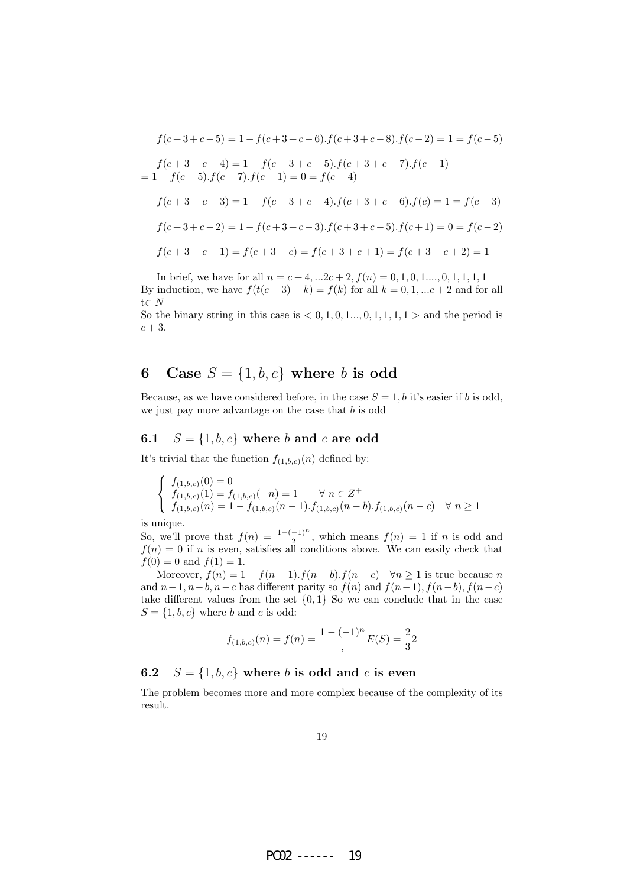$$
f(c+3+c-5) = 1 - f(c+3+c-6) \cdot f(c+3+c-8) \cdot f(c-2) = 1 = f(c-5)
$$
  
\n
$$
f(c+3+c-4) = 1 - f(c+3+c-5) \cdot f(c+3+c-7) \cdot f(c-1)
$$
  
\n
$$
= 1 - f(c-5) \cdot f(c-7) \cdot f(c-1) = 0 = f(c-4)
$$
  
\n
$$
f(c+3+c-3) = 1 - f(c+3+c-4) \cdot f(c+3+c-6) \cdot f(c) = 1 = f(c-3)
$$
  
\n
$$
f(c+3+c-2) = 1 - f(c+3+c-3) \cdot f(c+3+c-5) \cdot f(c+1) = 0 = f(c-2)
$$
  
\n
$$
f(c+3+c-1) = f(c+3+c) = f(c+3+c+1) = f(c+3+c+2) = 1
$$

In brief, we have for all  $n = c + 4, ...2c + 2, f(n) = 0, 1, 0, 1, ... , 0, 1, 1, 1, 1$ By induction, we have  $f(t(c+3) + k) = f(k)$  for all  $k = 0, 1, \dots c+2$  and for all t∈ $N$ 

So the binary string in this case is  $< 0, 1, 0, 1, ..., 0, 1, 1, 1, 1 >$  and the period is  $c + 3$ .

## 6 Case  $S = \{1, b, c\}$  where b is odd

Because, as we have considered before, in the case  $S = 1, b$  it's easier if b is odd, we just pay more advantage on the case that  $b$  is odd

### 6.1  $S = \{1, b, c\}$  where b and c are odd

It's trivial that the function  $f_{(1,b,c)}(n)$  defined by:

$$
\begin{cases}\nf_{(1,b,c)}(0) = 0 \\
f_{(1,b,c)}(1) = f_{(1,b,c)}(-n) = 1 \quad \forall n \in \mathbb{Z}^+ \\
f_{(1,b,c)}(n) = 1 - f_{(1,b,c)}(n-1) \cdot f_{(1,b,c)}(n-b) \cdot f_{(1,b,c)}(n-c) \quad \forall n \ge 1\n\end{cases}
$$

is unique.

So, we'll prove that  $f(n) = \frac{1-(-1)^n}{2}$ , which means  $f(n) = 1$  if n is odd and  $f(n) = 0$  if n is even, satisfies all conditions above. We can easily check that  $f(0) = 0$  and  $f(1) = 1$ .

Moreover,  $f(n) = 1 - f(n-1) \cdot f(n-b) \cdot f(n-c)$   $\forall n \ge 1$  is true because n and  $n-1$ ,  $n-b$ ,  $n-c$  has different parity so  $f(n)$  and  $f(n-1)$ ,  $f(n-b)$ ,  $f(n-c)$ take different values from the set  $\{0,1\}$  So we can conclude that in the case  $S = \{1, b, c\}$  where b and c is odd:

$$
f_{(1,b,c)}(n) = f(n) = \frac{1 - (-1)^n}{2}E(S) = \frac{2}{3}2
$$

### 6.2  $S = \{1, b, c\}$  where b is odd and c is even

The problem becomes more and more complex because of the complexity of its result.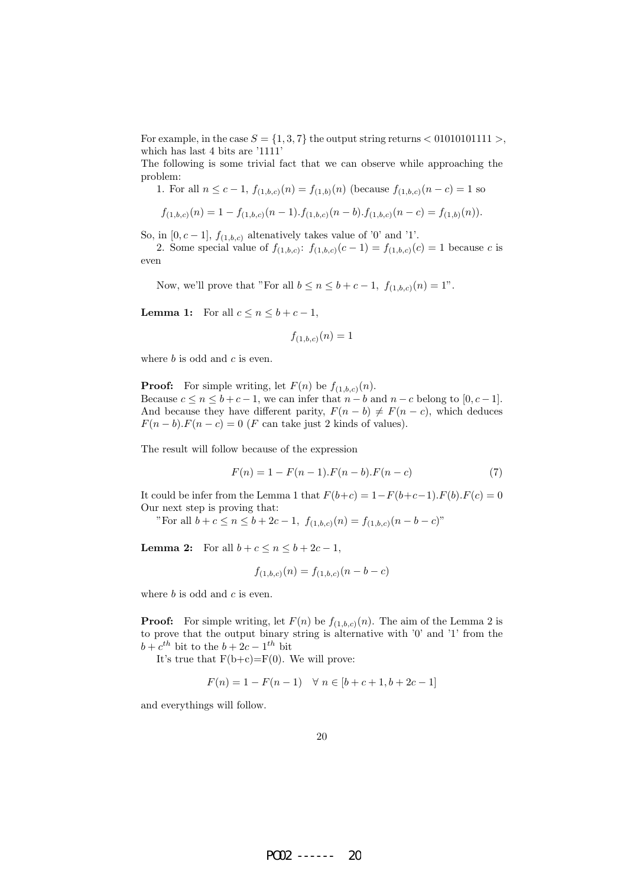For example, in the case  $S = \{1, 3, 7\}$  the output string returns  $\lt 01010101111$ , which has last 4 bits are '1111'

The following is some trivial fact that we can observe while approaching the problem:

1. For all 
$$
n \leq c-1
$$
,  $f_{(1,b,c)}(n) = f_{(1,b)}(n)$  (because  $f_{(1,b,c)}(n-c) = 1$  so

$$
f_{(1,b,c)}(n) = 1 - f_{(1,b,c)}(n-1) \cdot f_{(1,b,c)}(n-b) \cdot f_{(1,b,c)}(n-c) = f_{(1,b)}(n)).
$$

So, in  $[0, c-1]$ ,  $f_{(1,b,c)}$  altenatively takes value of '0' and '1'.

2. Some special value of  $f_{(1,b,c)}$ :  $f_{(1,b,c)}(c-1) = f_{(1,b,c)}(c) = 1$  because c is even

Now, we'll prove that "For all  $b \le n \le b + c - 1$ ,  $f_{(1,b,c)}(n) = 1$ ".

**Lemma 1:** For all  $c \leq n \leq b+c-1$ ,

$$
f_{(1,b,c)}(n) = 1
$$

where  $b$  is odd and  $c$  is even.

**Proof:** For simple writing, let  $F(n)$  be  $f_{(1,b,c)}(n)$ . Because  $c \le n \le b + c - 1$ , we can infer that  $n - b$  and  $n - c$  belong to  $[0, c - 1]$ . And because they have different parity,  $F(n - b) \neq F(n - c)$ , which deduces  $F(n - b) \cdot F(n - c) = 0$  (*F* can take just 2 kinds of values).

The result will follow because of the expression

$$
F(n) = 1 - F(n-1) \cdot F(n-b) \cdot F(n-c)
$$
\n(7)

It could be infer from the Lemma 1 that  $F(b+c) = 1-F(b+c-1)F(b)F(c) = 0$ Our next step is proving that:

"For all  $b + c \le n \le b + 2c - 1$ ,  $f_{(1,b,c)}(n) = f_{(1,b,c)}(n - b - c)$ "

**Lemma 2:** For all  $b + c \le n \le b + 2c - 1$ ,

$$
f_{(1,b,c)}(n) = f_{(1,b,c)}(n-b-c)
$$

where  $b$  is odd and  $c$  is even.

**Proof:** For simple writing, let  $F(n)$  be  $f_{(1,b,c)}(n)$ . The aim of the Lemma 2 is to prove that the output binary string is alternative with '0' and '1' from the  $b + c^{th}$  bit to the  $b + 2c - 1^{th}$  bit

It's true that  $F(b+c)=F(0)$ . We will prove:

$$
F(n) = 1 - F(n - 1) \quad \forall n \in [b + c + 1, b + 2c - 1]
$$

and everythings will follow.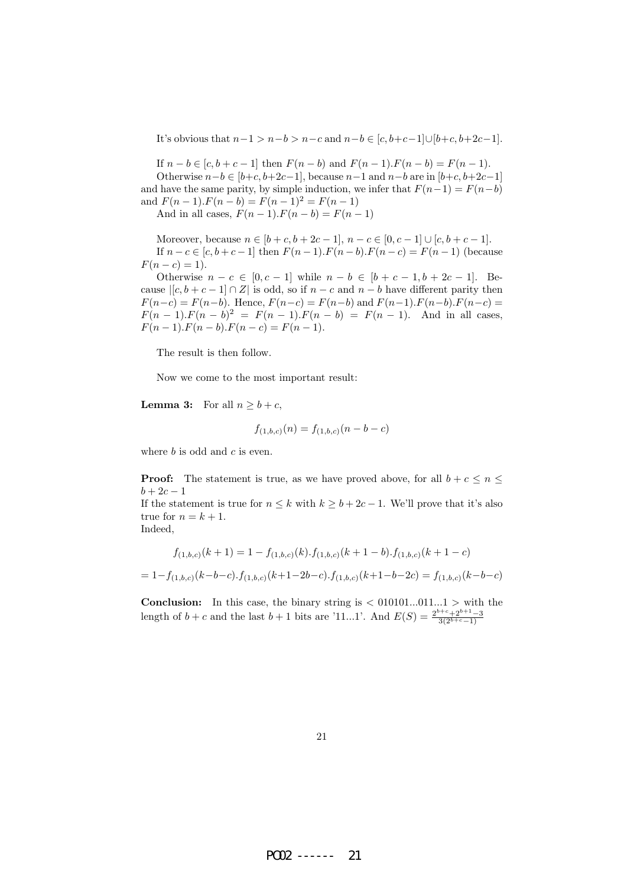It's obvious that  $n-1 > n-b > n-c$  and  $n-b \in [c, b+c-1] \cup [b+c, b+2c-1]$ .

If  $n - b \in [c, b + c - 1]$  then  $F(n - b)$  and  $F(n - 1) \cdot F(n - b) = F(n - 1)$ . Otherwise  $n-b \in [b+c, b+2c-1]$ , because  $n-1$  and  $n-b$  are in  $[b+c, b+2c-1]$ and have the same parity, by simple induction, we infer that  $F(n-1) = F(n-b)$ and  $F(n-1) \cdot F(n-b) = F(n-1)^2 = F(n-1)$ 

And in all cases,  $F(n-1) \cdot F(n-b) = F(n-1)$ 

Moreover, because  $n \in [b+c, b+2c-1], n-c \in [0, c-1] \cup [c, b+c-1].$ If  $n - c \in [c, b + c - 1]$  then  $F(n - 1)$ .  $F(n - b)$ .  $F(n - c) = F(n - 1)$  (because  $F(n - c) = 1$ ).

Otherwise  $n - c \in [0, c - 1]$  while  $n - b \in [b + c - 1, b + 2c - 1]$ . Because  $|[c, b + c - 1] \cap Z|$  is odd, so if  $n - c$  and  $n - b$  have different parity then  $F(n-c) = F(n-b)$ . Hence,  $F(n-c) = F(n-b)$  and  $F(n-1)$ .  $F(n-b)$ .  $F(n-c) =$  $F(n-1) \cdot F(n-b)^2 = F(n-1) \cdot F(n-b) = F(n-1)$ . And in all cases,  $F(n-1) \cdot F(n-b) \cdot F(n-c) = F(n-1).$ 

The result is then follow.

Now we come to the most important result:

**Lemma 3:** For all  $n > b + c$ ,

$$
f_{(1,b,c)}(n) = f_{(1,b,c)}(n-b-c)
$$

where  $b$  is odd and  $c$  is even.

**Proof:** The statement is true, as we have proved above, for all  $b + c \leq n \leq$  $b + 2c - 1$ 

If the statement is true for  $n \leq k$  with  $k \geq b + 2c - 1$ . We'll prove that it's also true for  $n = k + 1$ .

Indeed,

$$
f_{(1,b,c)}(k+1) = 1 - f_{(1,b,c)}(k) \cdot f_{(1,b,c)}(k+1-b) \cdot f_{(1,b,c)}(k+1-c)
$$
  
= 1 - f\_{(1,b,c)}(k-b-c) \cdot f\_{(1,b,c)}(k+1-2b-c) \cdot f\_{(1,b,c)}(k+1-b-2c) = f\_{(1,b,c)}(k-b-c)

**Conclusion:** In this case, the binary string is  $\langle 0.010101...011...1 \rangle$  with the length of  $b + c$  and the last  $b + 1$  bits are '11...1'. And  $E(S) = \frac{2^{b+c} + 2^{b+1}-3}{3(2^{b+c}-1)}$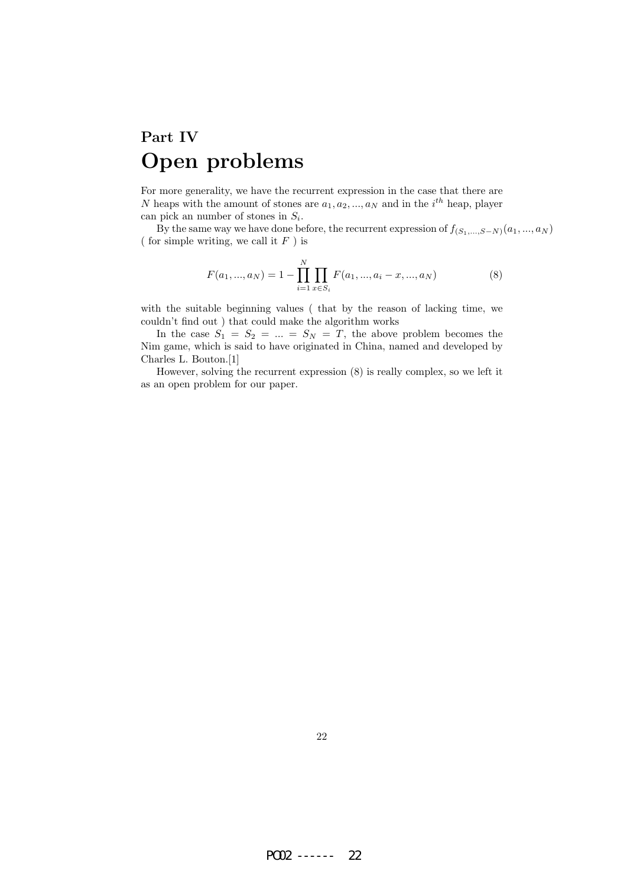# Part IV Open problems

For more generality, we have the recurrent expression in the case that there are N heaps with the amount of stones are  $a_1, a_2, ..., a_N$  and in the i<sup>th</sup> heap, player can pick an number of stones in  $S_i$ .

By the same way we have done before, the recurrent expression of  $f_{(S_1,...,S-N)}(a_1,...,a_N)$ ( for simple writing, we call it  $F$  ) is

$$
F(a_1, ..., a_N) = 1 - \prod_{i=1}^{N} \prod_{x \in S_i} F(a_1, ..., a_i - x, ..., a_N)
$$
 (8)

with the suitable beginning values ( that by the reason of lacking time, we couldn't find out ) that could make the algorithm works

In the case  $S_1 = S_2 = ... = S_N = T$ , the above problem becomes the Nim game, which is said to have originated in China, named and developed by Charles L. Bouton.[1]

However, solving the recurrent expression (8) is really complex, so we left it as an open problem for our paper.